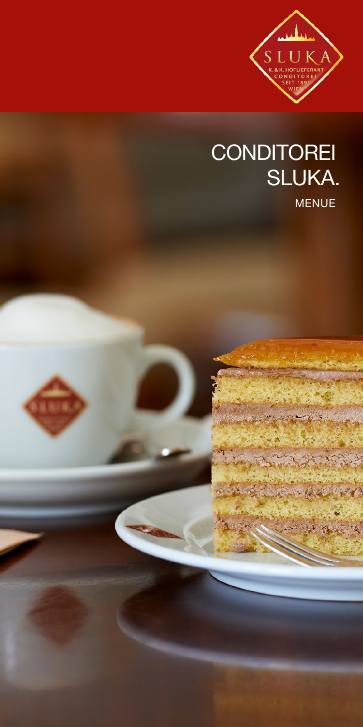

#### MENUE **CONDITOREI** SLUKA.

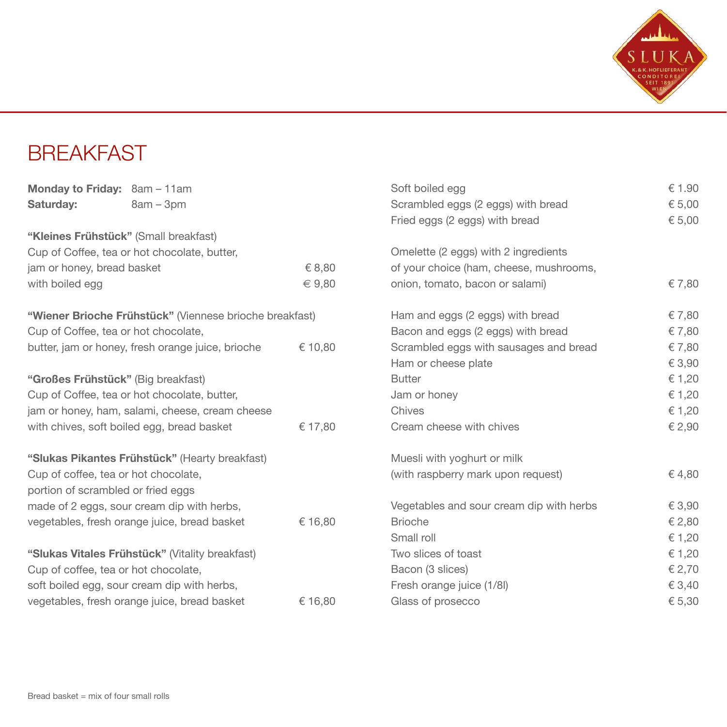

#### **BREAKFAST**

|                                                              | Monday to Friday: 8am - 11am                            |                                    | Soft boiled egg                          | € 1.90 |
|--------------------------------------------------------------|---------------------------------------------------------|------------------------------------|------------------------------------------|--------|
| Saturday:                                                    | $8am - 3pm$                                             |                                    | Scrambled eggs (2 eggs) with bread       | € 5,00 |
|                                                              |                                                         |                                    | Fried eggs (2 eggs) with bread           | € 5,00 |
|                                                              | "Kleines Frühstück" (Small breakfast)                   |                                    |                                          |        |
|                                                              | Cup of Coffee, tea or hot chocolate, butter,            |                                    | Omelette (2 eggs) with 2 ingredients     |        |
| jam or honey, bread basket                                   |                                                         | € 8,80                             | of your choice (ham, cheese, mushrooms,  |        |
| with boiled egg                                              |                                                         | $\in 9,80$                         | onion, tomato, bacon or salami)          | € 7,80 |
|                                                              | "Wiener Brioche Frühstück" (Viennese brioche breakfast) |                                    | Ham and eggs (2 eggs) with bread         | € 7,80 |
| Cup of Coffee, tea or hot chocolate,                         |                                                         | Bacon and eggs (2 eggs) with bread | € 7,80                                   |        |
| butter, jam or honey, fresh orange juice, brioche<br>€ 10,80 |                                                         |                                    | Scrambled eggs with sausages and bread   | € 7,80 |
|                                                              |                                                         |                                    | Ham or cheese plate                      | € 3,90 |
| "Großes Frühstück" (Big breakfast)                           |                                                         | <b>Butter</b>                      | € 1,20                                   |        |
| Cup of Coffee, tea or hot chocolate, butter,                 |                                                         | Jam or honey                       | € 1,20                                   |        |
|                                                              | jam or honey, ham, salami, cheese, cream cheese         |                                    | Chives                                   | € 1,20 |
| with chives, soft boiled egg, bread basket                   |                                                         | € 17,80                            | Cream cheese with chives                 | € 2,90 |
|                                                              | "Slukas Pikantes Frühstück" (Hearty breakfast)          |                                    | Muesli with yoghurt or milk              |        |
|                                                              | Cup of coffee, tea or hot chocolate,                    |                                    | (with raspberry mark upon request)       | € 4,80 |
|                                                              | portion of scrambled or fried eggs                      |                                    |                                          |        |
|                                                              | made of 2 eggs, sour cream dip with herbs,              |                                    | Vegetables and sour cream dip with herbs | € 3,90 |
|                                                              | vegetables, fresh orange juice, bread basket            | € 16,80                            | <b>Brioche</b>                           | € 2,80 |
|                                                              |                                                         |                                    | Small roll                               | € 1,20 |
|                                                              | "Slukas Vitales Frühstück" (Vitality breakfast)         |                                    | Two slices of toast                      | € 1,20 |
|                                                              | Cup of coffee, tea or hot chocolate,                    |                                    | Bacon (3 slices)                         | € 2,70 |
|                                                              | soft boiled egg, sour cream dip with herbs,             |                                    | Fresh orange juice (1/8l)                | € 3,40 |
|                                                              | vegetables, fresh orange juice, bread basket            | € 16,80                            | Glass of prosecco                        | € 5,30 |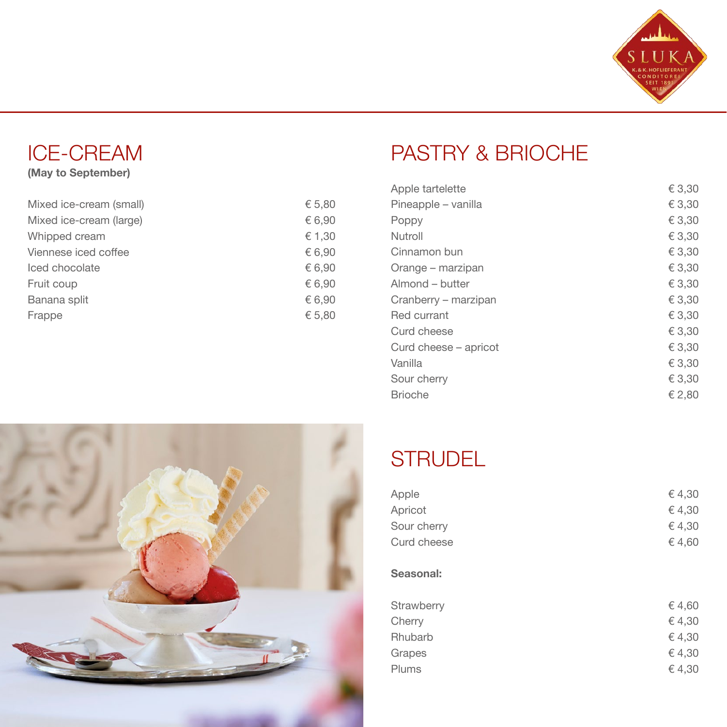

## ICE-CREAM

#### (May to September)

| Mixed ice-cream (small) | € 5,80 |
|-------------------------|--------|
| Mixed ice-cream (large) | € 6,90 |
| Whipped cream           | € 1,30 |
| Viennese iced coffee    | € 6,90 |
| Iced chocolate          | € 6,90 |
| Fruit coup              | € 6,90 |
| Banana split            | € 6,90 |
| Frappe                  | € 5,80 |

# PASTRY & BRIOCHE

| Apple tartelette      | € 3,30 |
|-----------------------|--------|
| Pineapple – vanilla   | € 3,30 |
| Poppy                 | € 3,30 |
| Nutroll               | € 3,30 |
| Cinnamon bun          | € 3,30 |
| Orange – marzipan     | € 3.30 |
| Almond - butter       | € 3,30 |
| Cranberry – marzipan  | € 3,30 |
| Red currant           | € 3,30 |
| Curd cheese           | € 3,30 |
| Curd cheese – apricot | € 3,30 |
| Vanilla               | € 3,30 |
| Sour cherry           | € 3,30 |
| <b>Brioche</b>        | € 2.80 |



## **STRUDEL**

| Apple       | €4,30  |
|-------------|--------|
| Apricot     | €4,30  |
| Sour cherry | €4,30  |
| Curd cheese | €4,60  |
|             |        |
| Seasonal:   |        |
|             |        |
| Strawhern   | € 4 60 |

| € 4.60 |
|--------|
| € 4.30 |
| € 4.30 |
| € 4.30 |
| € 4.30 |
|        |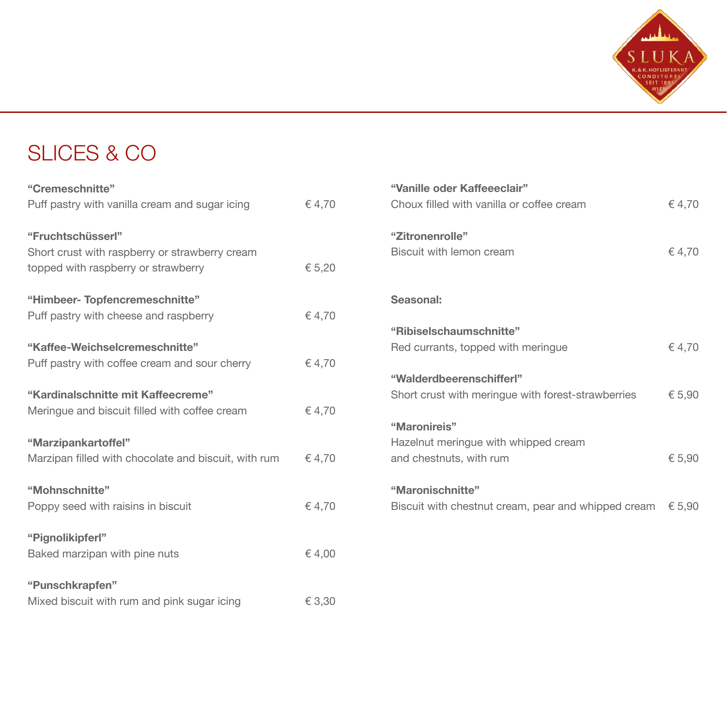

# SLICES & CO

| "Cremeschnitte"                                      |        |
|------------------------------------------------------|--------|
| Puff pastry with vanilla cream and sugar icing       | €4,70  |
| "Fruchtschüsserl"                                    |        |
| Short crust with raspberry or strawberry cream       |        |
| topped with raspberry or strawberry                  | € 5,20 |
| "Himbeer-Topfencremeschnitte"                        |        |
| Puff pastry with cheese and raspberry                | €4,70  |
| "Kaffee-Weichselcremeschnitte"                       |        |
| Puff pastry with coffee cream and sour cherry        | €4,70  |
| "Kardinalschnitte mit Kaffeecreme"                   |        |
| Meringue and biscuit filled with coffee cream        | €4.70  |
| "Marzipankartoffel"                                  |        |
| Marzipan filled with chocolate and biscuit, with rum | €4,70  |
| "Mohnschnitte"                                       |        |
| Poppy seed with raisins in biscuit                   | €4,70  |
| "Pignolikipferl"                                     |        |
| Baked marzipan with pine nuts                        | €4,00  |
| "Punschkrapfen"                                      |        |
| Mixed biscuit with rum and pink sugar icing          | € 3,30 |
|                                                      |        |

| "Vanille oder Kaffeeeclair"                         |        |
|-----------------------------------------------------|--------|
| Choux filled with vanilla or coffee cream           | €4,70  |
|                                                     |        |
| "Zitronenrolle"                                     |        |
| Biscuit with lemon cream                            | €4,70  |
|                                                     |        |
|                                                     |        |
| Seasonal:                                           |        |
| "Ribiselschaumschnitte"                             |        |
| Red currants, topped with meringue                  | €4.70  |
|                                                     |        |
| "Walderdbeerenschifferl"                            |        |
| Short crust with meringue with forest-strawberries  | € 5,90 |
|                                                     |        |
| "Maronireis"                                        |        |
| Hazelnut meringue with whipped cream                |        |
| and chestnuts, with rum                             | € 5,90 |
| "Maronischnitte"                                    |        |
| Biscuit with chestnut cream, pear and whipped cream | € 5,90 |
|                                                     |        |
|                                                     |        |
|                                                     |        |
|                                                     |        |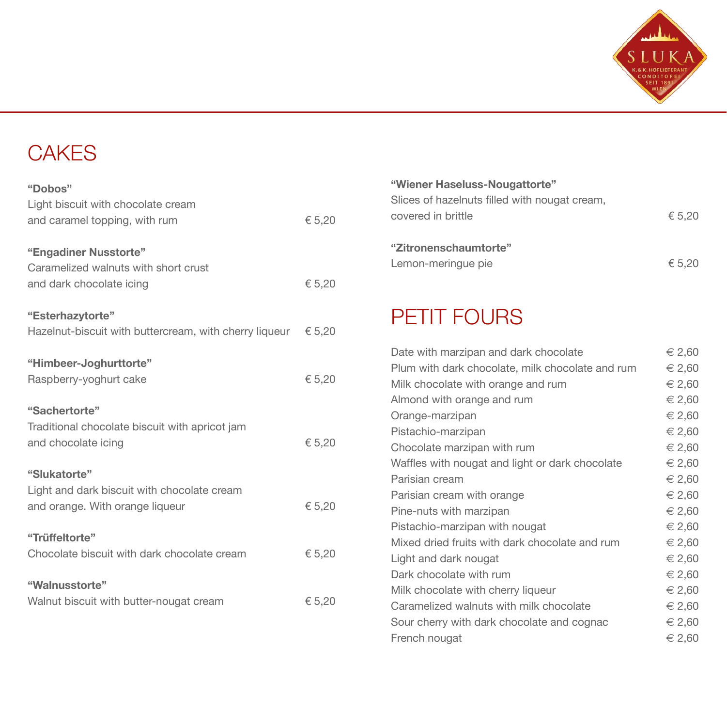

## **CAKES**

| "Dobos"                                                |        |
|--------------------------------------------------------|--------|
| Light biscuit with chocolate cream                     |        |
| and caramel topping, with rum                          | € 5,20 |
| "Engadiner Nusstorte"                                  |        |
| Caramelized walnuts with short crust                   |        |
| and dark chocolate icing                               | € 5,20 |
| "Esterhazytorte"                                       |        |
| Hazelnut-biscuit with buttercream, with cherry liqueur | € 5,20 |
| "Himbeer-Joghurttorte"                                 |        |
| Raspberry-yoghurt cake                                 | € 5,20 |
| "Sachertorte"                                          |        |
| Traditional chocolate biscuit with apricot jam         |        |
| and chocolate icing                                    | € 5,20 |
| "Slukatorte"                                           |        |
| Light and dark biscuit with chocolate cream            |        |
| and orange. With orange liqueur                        | € 5,20 |
| "Trüffeltorte"                                         |        |
| Chocolate biscuit with dark chocolate cream            | € 5,20 |
| "Walnusstorte"                                         |        |
| Walnut biscuit with butter-nougat cream                | € 5,20 |
|                                                        |        |

| "Wiener Haseluss-Nougattorte"                 |        |
|-----------------------------------------------|--------|
| Slices of hazelnuts filled with nougat cream, |        |
| covered in brittle                            | € 5.20 |
|                                               |        |
| "Zitronenschaumtorte"                         |        |
| Lemon-meringue pie                            | € 5.20 |
|                                               |        |

## PETIT FOURS

| Date with marzipan and dark chocolate            | $\epsilon$ 2.60 |
|--------------------------------------------------|-----------------|
| Plum with dark chocolate, milk chocolate and rum | $\epsilon$ 2,60 |
| Milk chocolate with orange and rum               | $\in$ 2,60      |
| Almond with orange and rum                       | € 2,60          |
| Orange-marzipan                                  | $\epsilon$ 2,60 |
| Pistachio-marzipan                               | € 2,60          |
| Chocolate marzipan with rum                      | € 2,60          |
| Waffles with nougat and light or dark chocolate  | € 2,60          |
| Parisian cream                                   | $\epsilon$ 2,60 |
| Parisian cream with orange                       | $\epsilon$ 2.60 |
| Pine-nuts with marzipan                          | € 2,60          |
| Pistachio-marzipan with nougat                   | $\epsilon$ 2,60 |
| Mixed dried fruits with dark chocolate and rum   | $\epsilon$ 2,60 |
| Light and dark nougat                            | $\epsilon$ 2,60 |
| Dark chocolate with rum                          | $\in 2,60$      |
| Milk chocolate with cherry liqueur               | $\epsilon$ 2,60 |
| Caramelized walnuts with milk chocolate          | $\epsilon$ 2,60 |
| Sour cherry with dark chocolate and cognac       | $\epsilon$ 2,60 |
| French nougat                                    | $∈$ 2,60        |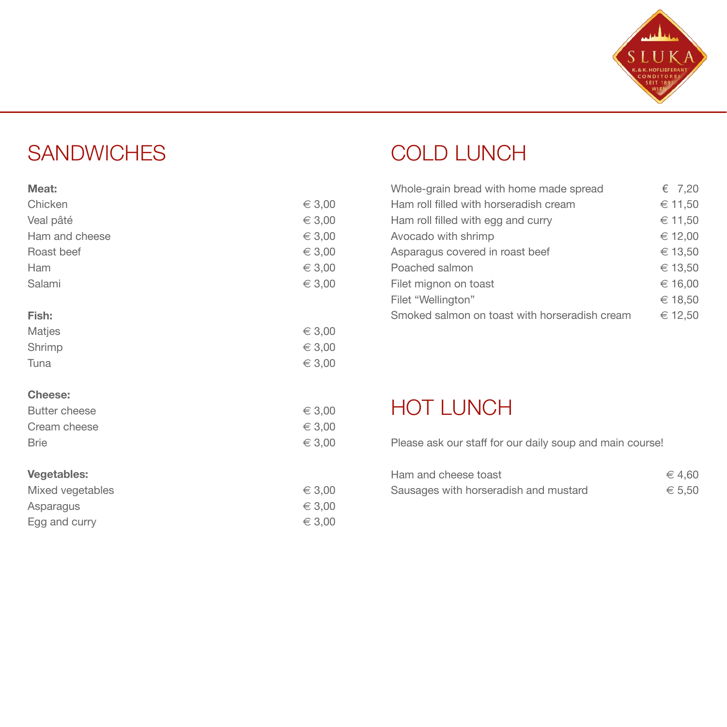

## **SANDWICHES**

| Chicken              | $\in$ 3,00 |
|----------------------|------------|
| Veal pâté            | $\in$ 3,00 |
| Ham and cheese       | $\in$ 3,00 |
| Roast beef           | $\in$ 3,00 |
| Ham                  | $\in$ 3,00 |
| Salami               | $\in$ 3,00 |
| Fish:                |            |
| Matjes               | $\in$ 3,00 |
| Shrimp               | $\in$ 3,00 |
| Tuna                 | $\in$ 3,00 |
| Cheese:              |            |
| <b>Butter cheese</b> | $\in$ 3,00 |
| Cream cheese         | $\in$ 3,00 |
| <b>Brie</b>          | $\in$ 3,00 |
| <b>Vegetables:</b>   |            |
| Mixed vegetables     | $\in$ 3,00 |
| Asparagus            | $\in$ 3,00 |
| Egg and curry        | € 3,00     |

# COLD LUNCH

| Whole-grain bread with home made spread       | € 7,20  |
|-----------------------------------------------|---------|
| Ham roll filled with horseradish cream        | € 11,50 |
| Ham roll filled with egg and curry            | € 11,50 |
| Avocado with shrimp                           | € 12,00 |
| Asparagus covered in roast beef               | € 13.50 |
| Poached salmon                                | € 13.50 |
| Filet mignon on toast                         | € 16,00 |
| Filet "Wellington"                            | € 18,50 |
| Smoked salmon on toast with horseradish cream | € 12.50 |

## HOT LUNCH

Please ask our staff for our daily soup and main course!

| Ham and cheese toast                  | $\epsilon$ 4.60 |
|---------------------------------------|-----------------|
| Sausages with horseradish and mustard | € 5.50          |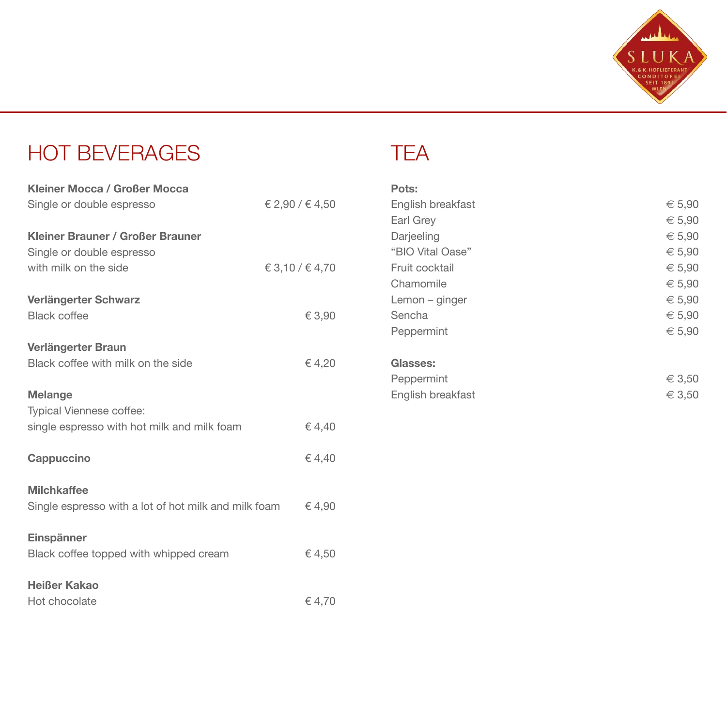

### HOT BEVERAGES

| Kleiner Mocca / Großer Mocca                         |                 |
|------------------------------------------------------|-----------------|
| Single or double espresso                            | € 2,90 / € 4,50 |
| Kleiner Brauner / Großer Brauner                     |                 |
| Single or double espresso                            |                 |
| with milk on the side                                | € 3,10 / € 4,70 |
| Verlängerter Schwarz                                 |                 |
| <b>Black coffee</b>                                  | € 3,90          |
| Verlängerter Braun                                   |                 |
| Black coffee with milk on the side                   | €4.20           |
| <b>Melange</b>                                       |                 |
| Typical Viennese coffee:                             |                 |
| single espresso with hot milk and milk foam          | €4.40           |
| Cappuccino                                           | €4.40           |
| <b>Milchkaffee</b>                                   |                 |
| Single espresso with a lot of hot milk and milk foam | €4,90           |
| Einspänner                                           |                 |
| Black coffee topped with whipped cream               | €4,50           |
| Heißer Kakao                                         |                 |
| Hot chocolate                                        | €4,70           |

#### TEA

| Pots:             |            |
|-------------------|------------|
| English breakfast | € 5,90     |
| Earl Grey         | € 5,90     |
| Darjeeling        | $\in 5,90$ |
| "BIO Vital Oase"  | € 5,90     |
| Fruit cocktail    | € 5,90     |
| Chamomile         | € 5,90     |
| $Lemon$ – ginger  | € 5,90     |
| Sencha            | € 5,90     |
| Peppermint        | € 5,90     |
|                   |            |
| Glasses:          |            |
| Peppermint        | $\in$ 3,50 |
| English breakfast | $\in$ 3,50 |
|                   |            |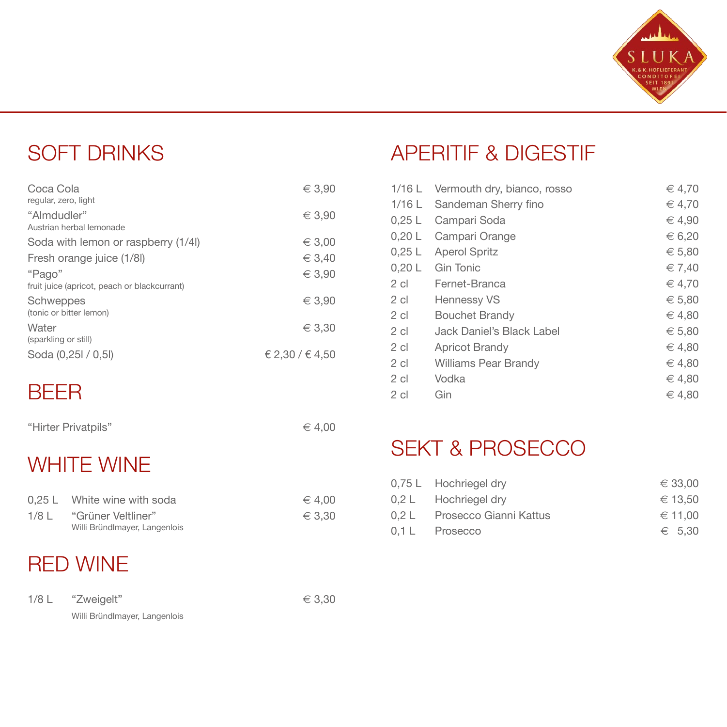

#### SOFT DRINKS

| Coca Cola<br>regular, zero, light            | $\in$ 3.90      |
|----------------------------------------------|-----------------|
| "Almdudler"<br>Austrian herbal lemonade      | $\in$ 3.90      |
| Soda with lemon or raspberry (1/4I)          | $\in$ 3,00      |
| Fresh orange juice (1/8I)                    | $\in$ 3.40      |
| "Pago"                                       | $\in$ 3.90      |
| fruit juice (apricot, peach or blackcurrant) |                 |
| Schweppes<br>(tonic or bitter lemon)         | $\in$ 3.90      |
| Water<br>(sparkling or still)                | $\in$ 3,30      |
| Soda (0,25l / 0,5l)                          | € 2,30 / € 4,50 |

#### BEER

| "Hirter Privatpils" | $\epsilon$ 4,00 |
|---------------------|-----------------|
|---------------------|-----------------|

#### WHITE WINE

|         | 0.25 L White wine with soda   | € 4.00 |
|---------|-------------------------------|--------|
| $1/8$ L | "Grüner Veltliner"            | € 3.30 |
|         | Willi Bründlmayer, Langenlois |        |

### RED WINE

| $1/8$ L | "Zweigelt"                    | $\in$ 3,30 |
|---------|-------------------------------|------------|
|         | Willi Bründlmayer, Langenlois |            |

### APERITIF & DIGESTIF

| 1/16 L   | Vermouth dry, bianco, rosso | € 4,70     |
|----------|-----------------------------|------------|
| $1/16$ L | Sandeman Sherry fino        | € 4,70     |
| 0.25L    | Campari Soda                | $∈$ 4,90   |
| 0.20L    | Campari Orange              | € 6.20     |
| 0.25L    | <b>Aperol Spritz</b>        | € 5,80     |
| 0,20 L   | Gin Tonic                   | $\in 7,40$ |
| $2$ cl   | Fernet-Branca               | $\in$ 4.70 |
| $2$ cl   | <b>Hennessy VS</b>          | € 5,80     |
| 2 cl     | <b>Bouchet Brandy</b>       | $∈$ 4,80   |
| $2$ cl   | Jack Daniel's Black Label   | € 5,80     |
| $2$ cl   | <b>Apricot Brandy</b>       | $\in 4.80$ |
| $2$ cl   | <b>Williams Pear Brandy</b> | $\in 4.80$ |
| $2$ cl   | Vodka                       | $∈$ 4,80   |
| $2$ cl   | Gin                         | $\in 4.80$ |

#### SEKT & PROSECCO

|       | 0.75 L Hochriegel dry  | $\epsilon$ 33.00 |
|-------|------------------------|------------------|
|       | 0.2 L Hochriegel dry   | € 13.50          |
| 0.2 L | Prosecco Gianni Kattus | ∈ 11.00          |
|       | 0.1 L Prosecco         | $\epsilon$ 5.30  |